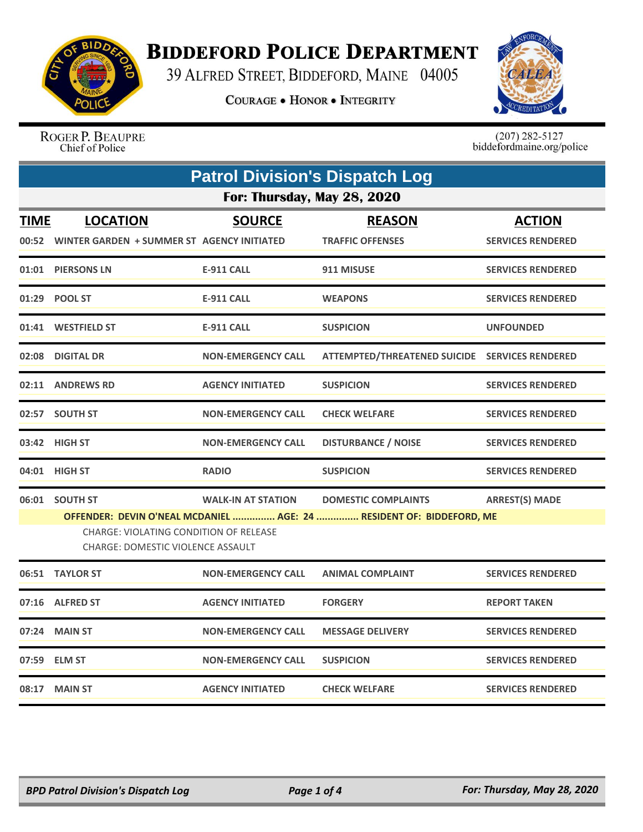

## **BIDDEFORD POLICE DEPARTMENT**

39 ALFRED STREET, BIDDEFORD, MAINE 04005

**COURAGE . HONOR . INTEGRITY** 



ROGER P. BEAUPRE Chief of Police

 $(207)$  282-5127<br>biddefordmaine.org/police

| <b>Patrol Division's Dispatch Log</b> |                                                                                                                                                                                                                                                                         |                           |                                                |                                           |  |
|---------------------------------------|-------------------------------------------------------------------------------------------------------------------------------------------------------------------------------------------------------------------------------------------------------------------------|---------------------------|------------------------------------------------|-------------------------------------------|--|
| For: Thursday, May 28, 2020           |                                                                                                                                                                                                                                                                         |                           |                                                |                                           |  |
| <b>TIME</b>                           | <b>LOCATION</b><br>00:52 WINTER GARDEN + SUMMER ST AGENCY INITIATED                                                                                                                                                                                                     | <b>SOURCE</b>             | <b>REASON</b><br><b>TRAFFIC OFFENSES</b>       | <b>ACTION</b><br><b>SERVICES RENDERED</b> |  |
|                                       | 01:01 PIERSONS LN                                                                                                                                                                                                                                                       | <b>E-911 CALL</b>         | 911 MISUSE                                     | <b>SERVICES RENDERED</b>                  |  |
| 01:29                                 | <b>POOL ST</b>                                                                                                                                                                                                                                                          | <b>E-911 CALL</b>         | <b>WEAPONS</b>                                 | <b>SERVICES RENDERED</b>                  |  |
|                                       | 01:41 WESTFIELD ST                                                                                                                                                                                                                                                      | <b>E-911 CALL</b>         | <b>SUSPICION</b>                               | <b>UNFOUNDED</b>                          |  |
| 02:08                                 | <b>DIGITAL DR</b>                                                                                                                                                                                                                                                       | <b>NON-EMERGENCY CALL</b> | ATTEMPTED/THREATENED SUICIDE SERVICES RENDERED |                                           |  |
|                                       | 02:11 ANDREWS RD                                                                                                                                                                                                                                                        | <b>AGENCY INITIATED</b>   | <b>SUSPICION</b>                               | <b>SERVICES RENDERED</b>                  |  |
|                                       | 02:57 SOUTH ST                                                                                                                                                                                                                                                          | <b>NON-EMERGENCY CALL</b> | <b>CHECK WELFARE</b>                           | <b>SERVICES RENDERED</b>                  |  |
|                                       | 03:42 HIGH ST                                                                                                                                                                                                                                                           | <b>NON-EMERGENCY CALL</b> | <b>DISTURBANCE / NOISE</b>                     | <b>SERVICES RENDERED</b>                  |  |
|                                       | 04:01 HIGH ST                                                                                                                                                                                                                                                           | <b>RADIO</b>              | <b>SUSPICION</b>                               | <b>SERVICES RENDERED</b>                  |  |
|                                       | 06:01 SOUTH ST<br><b>WALK-IN AT STATION</b><br><b>ARREST(S) MADE</b><br><b>DOMESTIC COMPLAINTS</b><br>OFFENDER: DEVIN O'NEAL MCDANIEL  AGE: 24  RESIDENT OF: BIDDEFORD, ME<br><b>CHARGE: VIOLATING CONDITION OF RELEASE</b><br><b>CHARGE: DOMESTIC VIOLENCE ASSAULT</b> |                           |                                                |                                           |  |
|                                       | 06:51 TAYLOR ST                                                                                                                                                                                                                                                         | <b>NON-EMERGENCY CALL</b> | <b>ANIMAL COMPLAINT</b>                        | <b>SERVICES RENDERED</b>                  |  |
| 07:16                                 | <b>ALFRED ST</b>                                                                                                                                                                                                                                                        | <b>AGENCY INITIATED</b>   | <b>FORGERY</b>                                 | <b>REPORT TAKEN</b>                       |  |
| 07:24                                 | <b>MAIN ST</b>                                                                                                                                                                                                                                                          | <b>NON-EMERGENCY CALL</b> | <b>MESSAGE DELIVERY</b>                        | <b>SERVICES RENDERED</b>                  |  |
|                                       | 07:59 ELM ST                                                                                                                                                                                                                                                            | <b>NON-EMERGENCY CALL</b> | <b>SUSPICION</b>                               | <b>SERVICES RENDERED</b>                  |  |
|                                       | 08:17 MAIN ST                                                                                                                                                                                                                                                           | <b>AGENCY INITIATED</b>   | <b>CHECK WELFARE</b>                           | <b>SERVICES RENDERED</b>                  |  |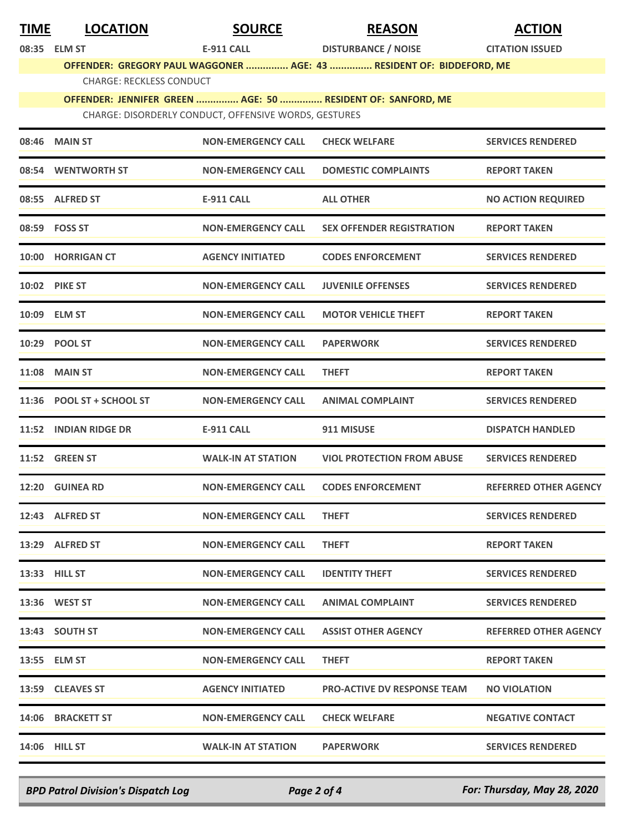| <u>TIME</u> | <b>LOCATION</b>                                                                                                      | <b>SOURCE</b>             | <b>REASON</b>                                                        | <b>ACTION</b>                |  |  |
|-------------|----------------------------------------------------------------------------------------------------------------------|---------------------------|----------------------------------------------------------------------|------------------------------|--|--|
|             | 08:35 ELM ST                                                                                                         | <b>E-911 CALL</b>         | <b>DISTURBANCE / NOISE</b>                                           | <b>CITATION ISSUED</b>       |  |  |
|             |                                                                                                                      |                           | OFFENDER: GREGORY PAUL WAGGONER  AGE: 43  RESIDENT OF: BIDDEFORD, ME |                              |  |  |
|             | <b>CHARGE: RECKLESS CONDUCT</b>                                                                                      |                           |                                                                      |                              |  |  |
|             | OFFENDER: JENNIFER GREEN  AGE: 50  RESIDENT OF: SANFORD, ME<br>CHARGE: DISORDERLY CONDUCT, OFFENSIVE WORDS, GESTURES |                           |                                                                      |                              |  |  |
|             | 08:46 MAIN ST                                                                                                        | <b>NON-EMERGENCY CALL</b> | <b>CHECK WELFARE</b>                                                 | <b>SERVICES RENDERED</b>     |  |  |
| 08:54       | <b>WENTWORTH ST</b>                                                                                                  | <b>NON-EMERGENCY CALL</b> | <b>DOMESTIC COMPLAINTS</b>                                           | <b>REPORT TAKEN</b>          |  |  |
|             | 08:55 ALFRED ST                                                                                                      | E-911 CALL                | <b>ALL OTHER</b>                                                     | <b>NO ACTION REQUIRED</b>    |  |  |
|             | 08:59 FOSS ST                                                                                                        | <b>NON-EMERGENCY CALL</b> | <b>SEX OFFENDER REGISTRATION</b>                                     | <b>REPORT TAKEN</b>          |  |  |
|             | 10:00 HORRIGAN CT                                                                                                    | <b>AGENCY INITIATED</b>   | <b>CODES ENFORCEMENT</b>                                             | <b>SERVICES RENDERED</b>     |  |  |
|             | 10:02 PIKE ST                                                                                                        | <b>NON-EMERGENCY CALL</b> | <b>JUVENILE OFFENSES</b>                                             | <b>SERVICES RENDERED</b>     |  |  |
|             | 10:09 ELM ST                                                                                                         | <b>NON-EMERGENCY CALL</b> | <b>MOTOR VEHICLE THEFT</b>                                           | <b>REPORT TAKEN</b>          |  |  |
|             | 10:29 POOL ST                                                                                                        | <b>NON-EMERGENCY CALL</b> | <b>PAPERWORK</b>                                                     | <b>SERVICES RENDERED</b>     |  |  |
|             | <b>11:08 MAIN ST</b>                                                                                                 | <b>NON-EMERGENCY CALL</b> | <b>THEFT</b>                                                         | <b>REPORT TAKEN</b>          |  |  |
|             | 11:36 POOL ST + SCHOOL ST                                                                                            | <b>NON-EMERGENCY CALL</b> | <b>ANIMAL COMPLAINT</b>                                              | <b>SERVICES RENDERED</b>     |  |  |
| 11:52       | <b>INDIAN RIDGE DR</b>                                                                                               | <b>E-911 CALL</b>         | 911 MISUSE                                                           | <b>DISPATCH HANDLED</b>      |  |  |
|             | 11:52 GREEN ST                                                                                                       | <b>WALK-IN AT STATION</b> | <b>VIOL PROTECTION FROM ABUSE</b>                                    | <b>SERVICES RENDERED</b>     |  |  |
|             | 12:20 GUINEA RD                                                                                                      | <b>NON-EMERGENCY CALL</b> | <b>CODES ENFORCEMENT</b>                                             | <b>REFERRED OTHER AGENCY</b> |  |  |
|             | 12:43 ALFRED ST                                                                                                      | <b>NON-EMERGENCY CALL</b> | <b>THEFT</b>                                                         | <b>SERVICES RENDERED</b>     |  |  |
|             | 13:29 ALFRED ST                                                                                                      | <b>NON-EMERGENCY CALL</b> | <b>THEFT</b>                                                         | <b>REPORT TAKEN</b>          |  |  |
|             | 13:33 HILL ST                                                                                                        | <b>NON-EMERGENCY CALL</b> | <b>IDENTITY THEFT</b>                                                | <b>SERVICES RENDERED</b>     |  |  |
|             | 13:36 WEST ST                                                                                                        | <b>NON-EMERGENCY CALL</b> | <b>ANIMAL COMPLAINT</b>                                              | <b>SERVICES RENDERED</b>     |  |  |
|             | 13:43 SOUTH ST                                                                                                       | <b>NON-EMERGENCY CALL</b> | <b>ASSIST OTHER AGENCY</b>                                           | <b>REFERRED OTHER AGENCY</b> |  |  |
|             | 13:55 ELM ST                                                                                                         | <b>NON-EMERGENCY CALL</b> | <b>THEFT</b>                                                         | <b>REPORT TAKEN</b>          |  |  |
|             | 13:59 CLEAVES ST                                                                                                     | <b>AGENCY INITIATED</b>   | <b>PRO-ACTIVE DV RESPONSE TEAM</b>                                   | <b>NO VIOLATION</b>          |  |  |
|             | 14:06 BRACKETT ST                                                                                                    | <b>NON-EMERGENCY CALL</b> | <b>CHECK WELFARE</b>                                                 | <b>NEGATIVE CONTACT</b>      |  |  |
|             | <b>14:06 HILL ST</b>                                                                                                 | <b>WALK-IN AT STATION</b> | <b>PAPERWORK</b>                                                     | <b>SERVICES RENDERED</b>     |  |  |

*BPD Patrol Division's Dispatch Log Page 2 of 4 For: Thursday, May 28, 2020*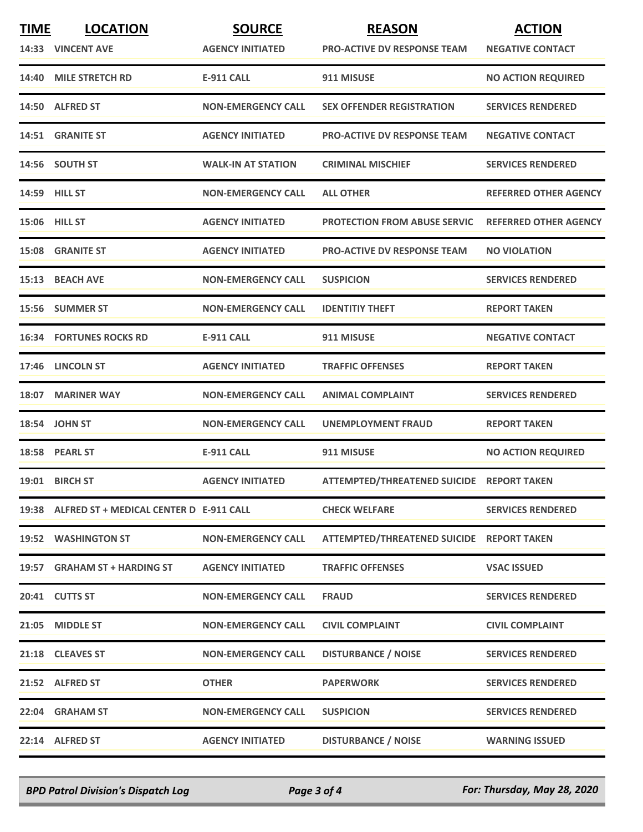| <b>TIME</b> | <b>LOCATION</b>                               | <b>SOURCE</b>             | <b>REASON</b>                             | <b>ACTION</b>                |
|-------------|-----------------------------------------------|---------------------------|-------------------------------------------|------------------------------|
|             | 14:33 VINCENT AVE                             | <b>AGENCY INITIATED</b>   | <b>PRO-ACTIVE DV RESPONSE TEAM</b>        | <b>NEGATIVE CONTACT</b>      |
|             | 14:40 MILE STRETCH RD                         | <b>E-911 CALL</b>         | 911 MISUSE                                | <b>NO ACTION REQUIRED</b>    |
|             | 14:50 ALFRED ST                               | <b>NON-EMERGENCY CALL</b> | <b>SEX OFFENDER REGISTRATION</b>          | <b>SERVICES RENDERED</b>     |
|             | 14:51 GRANITE ST                              | <b>AGENCY INITIATED</b>   | <b>PRO-ACTIVE DV RESPONSE TEAM</b>        | <b>NEGATIVE CONTACT</b>      |
|             | 14:56 SOUTH ST                                | <b>WALK-IN AT STATION</b> | <b>CRIMINAL MISCHIEF</b>                  | <b>SERVICES RENDERED</b>     |
|             | 14:59 HILL ST                                 | <b>NON-EMERGENCY CALL</b> | <b>ALL OTHER</b>                          | <b>REFERRED OTHER AGENCY</b> |
|             | <b>15:06 HILL ST</b>                          | <b>AGENCY INITIATED</b>   | <b>PROTECTION FROM ABUSE SERVIC</b>       | <b>REFERRED OTHER AGENCY</b> |
|             | <b>15:08 GRANITE ST</b>                       | <b>AGENCY INITIATED</b>   | <b>PRO-ACTIVE DV RESPONSE TEAM</b>        | <b>NO VIOLATION</b>          |
|             | 15:13 BEACH AVE                               | <b>NON-EMERGENCY CALL</b> | <b>SUSPICION</b>                          | <b>SERVICES RENDERED</b>     |
|             | 15:56 SUMMER ST                               | <b>NON-EMERGENCY CALL</b> | <b>IDENTITIY THEFT</b>                    | <b>REPORT TAKEN</b>          |
|             | <b>16:34 FORTUNES ROCKS RD</b>                | <b>E-911 CALL</b>         | 911 MISUSE                                | <b>NEGATIVE CONTACT</b>      |
|             | 17:46 LINCOLN ST                              | <b>AGENCY INITIATED</b>   | <b>TRAFFIC OFFENSES</b>                   | <b>REPORT TAKEN</b>          |
|             | 18:07 MARINER WAY                             | <b>NON-EMERGENCY CALL</b> | <b>ANIMAL COMPLAINT</b>                   | <b>SERVICES RENDERED</b>     |
|             | 18:54 JOHN ST                                 | <b>NON-EMERGENCY CALL</b> | UNEMPLOYMENT FRAUD                        | <b>REPORT TAKEN</b>          |
|             | 18:58 PEARL ST                                | <b>E-911 CALL</b>         | 911 MISUSE                                | <b>NO ACTION REQUIRED</b>    |
|             | 19:01 BIRCH ST                                | <b>AGENCY INITIATED</b>   | ATTEMPTED/THREATENED SUICIDE REPORT TAKEN |                              |
|             | 19:38 ALFRED ST + MEDICAL CENTER D E-911 CALL |                           | <b>CHECK WELFARE</b>                      | <b>SERVICES RENDERED</b>     |
|             | 19:52 WASHINGTON ST                           | <b>NON-EMERGENCY CALL</b> | ATTEMPTED/THREATENED SUICIDE REPORT TAKEN |                              |
|             | 19:57 GRAHAM ST + HARDING ST                  | <b>AGENCY INITIATED</b>   | <b>TRAFFIC OFFENSES</b>                   | <b>VSAC ISSUED</b>           |
|             | 20:41 CUTTS ST                                | <b>NON-EMERGENCY CALL</b> | <b>FRAUD</b>                              | <b>SERVICES RENDERED</b>     |
|             | 21:05 MIDDLE ST                               | <b>NON-EMERGENCY CALL</b> | <b>CIVIL COMPLAINT</b>                    | <b>CIVIL COMPLAINT</b>       |
|             | 21:18 CLEAVES ST                              | <b>NON-EMERGENCY CALL</b> | <b>DISTURBANCE / NOISE</b>                | <b>SERVICES RENDERED</b>     |
|             | 21:52 ALFRED ST                               | <b>OTHER</b>              | <b>PAPERWORK</b>                          | <b>SERVICES RENDERED</b>     |
|             | 22:04 GRAHAM ST                               | <b>NON-EMERGENCY CALL</b> | <b>SUSPICION</b>                          | <b>SERVICES RENDERED</b>     |
|             | 22:14 ALFRED ST                               | <b>AGENCY INITIATED</b>   | <b>DISTURBANCE / NOISE</b>                | <b>WARNING ISSUED</b>        |

*BPD Patrol Division's Dispatch Log Page 3 of 4 For: Thursday, May 28, 2020*